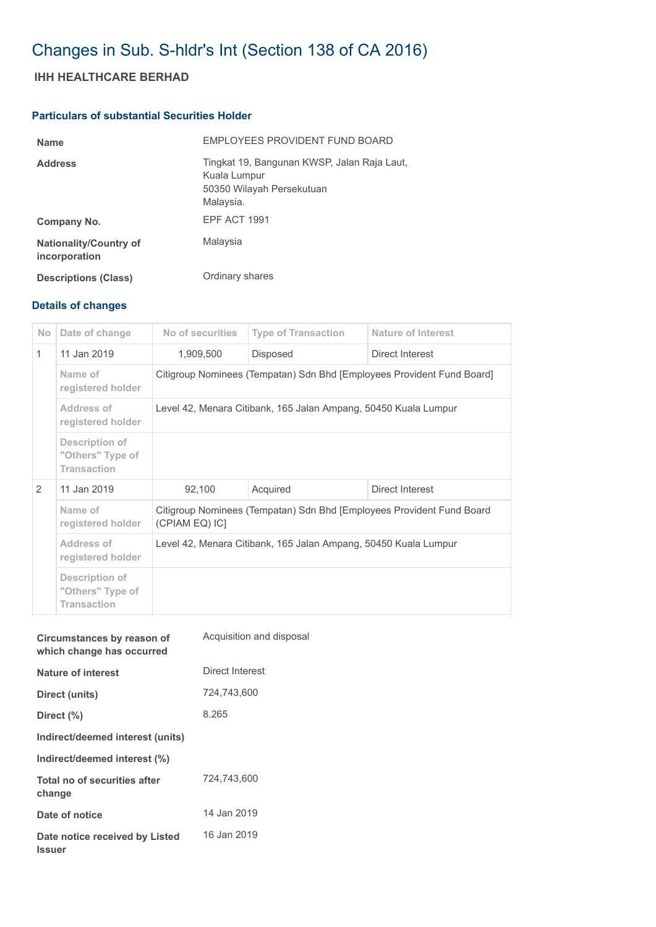# Changes in Sub. S-hldr's Int (Section 138 of CA 2016)

## **IHH HEALTHCARE BERHAD**

### **Particulars of substantial Securities Holder**

| <b>Name</b>                                    | EMPLOYEES PROVIDENT FUND BOARD                                                                        |
|------------------------------------------------|-------------------------------------------------------------------------------------------------------|
| <b>Address</b>                                 | Tingkat 19, Bangunan KWSP, Jalan Raja Laut,<br>Kuala Lumpur<br>50350 Wilayah Persekutuan<br>Malaysia. |
| Company No.                                    | <b>EPF ACT 1991</b>                                                                                   |
| <b>Nationality/Country of</b><br>incorporation | Malaysia                                                                                              |
| <b>Descriptions (Class)</b>                    | Ordinary shares                                                                                       |

## **Details of changes**

| <b>No</b>     | Date of change                                           | No of securities                                                                        | <b>Type of Transaction</b> | Nature of Interest |  |
|---------------|----------------------------------------------------------|-----------------------------------------------------------------------------------------|----------------------------|--------------------|--|
| $\mathbf{1}$  | 11 Jan 2019                                              | 1,909,500                                                                               | <b>Disposed</b>            | Direct Interest    |  |
|               | Name of<br>registered holder                             | Citigroup Nominees (Tempatan) Sdn Bhd [Employees Provident Fund Board]                  |                            |                    |  |
|               | Address of<br>registered holder                          | Level 42, Menara Citibank, 165 Jalan Ampang, 50450 Kuala Lumpur                         |                            |                    |  |
|               | Description of<br>"Others" Type of<br><b>Transaction</b> |                                                                                         |                            |                    |  |
| $\mathcal{P}$ | 11 Jan 2019                                              | 92,100                                                                                  | Acquired                   | Direct Interest    |  |
|               | Name of<br>registered holder                             | Citigroup Nominees (Tempatan) Sdn Bhd [Employees Provident Fund Board<br>(CPIAM EQ) IC] |                            |                    |  |
|               | Address of<br>registered holder                          | Level 42, Menara Citibank, 165 Jalan Ampang, 50450 Kuala Lumpur                         |                            |                    |  |
|               | Description of<br>"Others" Type of<br><b>Transaction</b> |                                                                                         |                            |                    |  |

| Circumstances by reason of<br>which change has occurred | Acquisition and disposal |
|---------------------------------------------------------|--------------------------|
| Nature of interest                                      | Direct Interest          |
| Direct (units)                                          | 724,743,600              |
| Direct $(\% )$                                          | 8.265                    |
| Indirect/deemed interest (units)                        |                          |
| Indirect/deemed interest (%)                            |                          |
| Total no of securities after<br>change                  | 724.743.600              |
| Date of notice                                          | 14 Jan 2019              |
| Date notice received by Listed<br>Issuer                | 16 Jan 2019              |